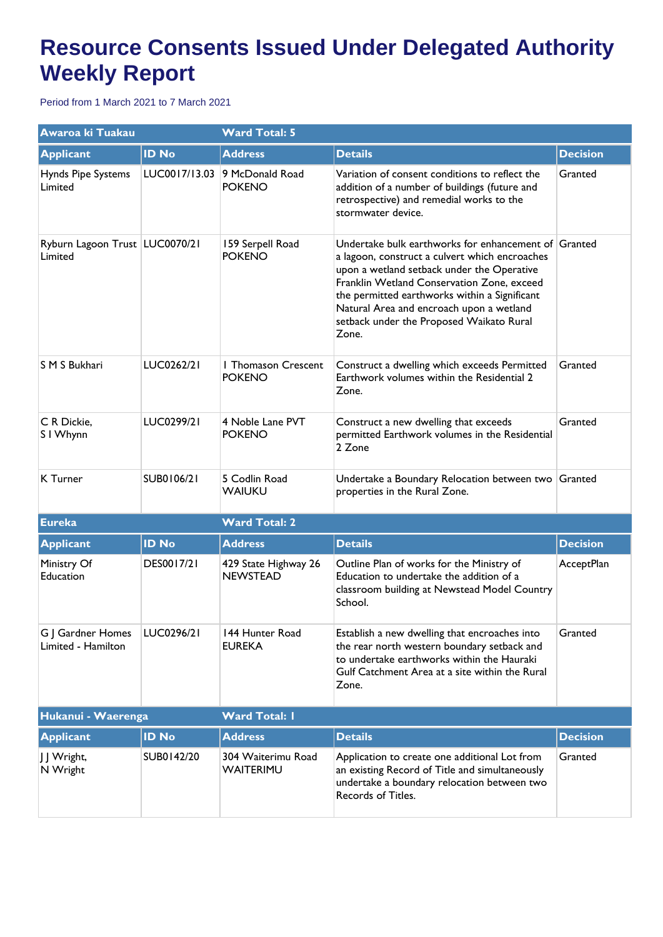## **Resource Consents Issued Under Delegated Authority Weekly Report**

Period from 1 March 2021 to 7 March 2021

| Awaroa ki Tuakau                          |               | <b>Ward Total: 5</b>                        |                                                                                                                                                                                                                                                                                                                                                      |                 |  |
|-------------------------------------------|---------------|---------------------------------------------|------------------------------------------------------------------------------------------------------------------------------------------------------------------------------------------------------------------------------------------------------------------------------------------------------------------------------------------------------|-----------------|--|
| <b>Applicant</b>                          | <b>ID No</b>  | <b>Address</b>                              | <b>Details</b>                                                                                                                                                                                                                                                                                                                                       | <b>Decision</b> |  |
| Hynds Pipe Systems<br>Limited             | LUC0017/13.03 | 9 McDonald Road<br><b>POKENO</b>            | Variation of consent conditions to reflect the<br>addition of a number of buildings (future and<br>retrospective) and remedial works to the<br>stormwater device.                                                                                                                                                                                    | Granted         |  |
| Ryburn Lagoon Trust LUC0070/21<br>Limited |               | 159 Serpell Road<br><b>POKENO</b>           | Undertake bulk earthworks for enhancement of Granted<br>a lagoon, construct a culvert which encroaches<br>upon a wetland setback under the Operative<br>Franklin Wetland Conservation Zone, exceed<br>the permitted earthworks within a Significant<br>Natural Area and encroach upon a wetland<br>setback under the Proposed Waikato Rural<br>Zone. |                 |  |
| S M S Bukhari                             | LUC0262/21    | <b>I Thomason Crescent</b><br><b>POKENO</b> | Construct a dwelling which exceeds Permitted<br>Earthwork volumes within the Residential 2<br>Zone.                                                                                                                                                                                                                                                  | Granted         |  |
| C R Dickie,<br>S I Whynn                  | LUC0299/21    | 4 Noble Lane PVT<br><b>POKENO</b>           | Construct a new dwelling that exceeds<br>permitted Earthwork volumes in the Residential<br>2 Zone                                                                                                                                                                                                                                                    | Granted         |  |
| K Turner                                  | SUB0106/21    | 5 Codlin Road<br><b>WAIUKU</b>              | Undertake a Boundary Relocation between two Granted<br>properties in the Rural Zone.                                                                                                                                                                                                                                                                 |                 |  |
| Eureka                                    |               | <b>Ward Total: 2</b>                        |                                                                                                                                                                                                                                                                                                                                                      |                 |  |
| <b>Applicant</b>                          | <b>ID No</b>  | <b>Address</b>                              | <b>Details</b>                                                                                                                                                                                                                                                                                                                                       | <b>Decision</b> |  |
| Ministry Of<br>Education                  | DES0017/21    | 429 State Highway 26<br><b>NEWSTEAD</b>     | Outline Plan of works for the Ministry of<br>Education to undertake the addition of a<br>classroom building at Newstead Model Country<br>School.                                                                                                                                                                                                     | AcceptPlan      |  |
| G   Gardner Homes<br>Limited - Hamilton   | LUC0296/21    | 144 Hunter Road<br><b>EUREKA</b>            | Establish a new dwelling that encroaches into<br>the rear north western boundary setback and<br>to undertake earthworks within the Hauraki<br>Gulf Catchment Area at a site within the Rural<br>Zone.                                                                                                                                                | Granted         |  |
| Hukanui - Waerenga                        |               | <b>Ward Total: I</b>                        |                                                                                                                                                                                                                                                                                                                                                      |                 |  |
| <b>Applicant</b>                          | <b>ID No</b>  | <b>Address</b>                              | <b>Details</b>                                                                                                                                                                                                                                                                                                                                       | <b>Decision</b> |  |
| J J Wright,<br>N Wright                   | SUB0142/20    | 304 Waiterimu Road<br>WAITERIMU             | Application to create one additional Lot from<br>an existing Record of Title and simultaneously<br>undertake a boundary relocation between two<br>Records of Titles.                                                                                                                                                                                 | Granted         |  |